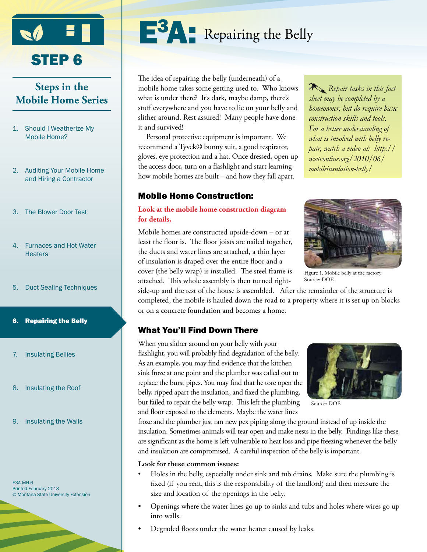

# STEP<sub>6</sub>

# **Steps in the Mobile Home Series**

- 1. Should I Weatherize My Mobile Home?
- 2. Auditing Your Mobile Home and Hiring a Contractor
- 3. The Blower Door Test
- 4. Furnaces and Hot Water **Heaters**
- 5. Duct Sealing Techniques
- 6. Repairing the Belly
- 7. Insulating Bellies
- 8. Insulating the Roof
- 9. Insulating the Walls

E3A-MH.6 Printed February 2013 © Montana State University Extension



The idea of repairing the belly (underneath) of a mobile home takes some getting used to. Who knows what is under there? It's dark, maybe damp, there's stuff everywhere and you have to lie on your belly and slither around. Rest assured! Many people have done it and survived!

Personal protective equipment is important. We recommend a Tyvek© bunny suit, a good respirator, gloves, eye protection and a hat. Once dressed, open up the access door, turn on a flashlight and start learning how mobile homes are built – and how they fall apart.

### Mobile Home Construction:

#### **Look at the mobile home construction diagram for details.**

Mobile homes are constructed upside-down – or at least the floor is. The floor joists are nailed together, the ducts and water lines are attached, a thin layer of insulation is draped over the entire floor and a cover (the belly wrap) is installed. The steel frame is attached. This whole assembly is then turned right-

side-up and the rest of the house is assembled. After the remainder of the structure is completed, the mobile is hauled down the road to a property where it is set up on blocks or on a concrete foundation and becomes a home.

# What You'll Find Down There

When you slither around on your belly with your flashlight, you will probably find degradation of the belly. As an example, you may find evidence that the kitchen sink froze at one point and the plumber was called out to replace the burst pipes. You may find that he tore open the belly, ripped apart the insulation, and fixed the plumbing, but failed to repair the belly wrap. This left the plumbing and floor exposed to the elements. Maybe the water lines



Source: DOE

froze and the plumber just ran new pex piping along the ground instead of up inside the insulation. Sometimes animals will tear open and make nests in the belly. Findings like these are significant as the home is left vulnerable to heat loss and pipe freezing whenever the belly and insulation are compromised. A careful inspection of the belly is important.

#### **Look for these common issues:**

- Holes in the belly, especially under sink and tub drains. Make sure the plumbing is fixed (if you rent, this is the responsibility of the landlord) and then measure the size and location of the openings in the belly.
- Openings where the water lines go up to sinks and tubs and holes where wires go up into walls.
- Degraded floors under the water heater caused by leaks.

*Repair tasks in this fact sheet may be completed by a homeowner, but do require basic construction skills and tools. For a better understanding of what is involved with belly repair, watch a video at: http:// wxtvonline.org/2010/06/ mobileinsulation-belly/*



Figure 1. Mobile belly at the factory Source: DOE